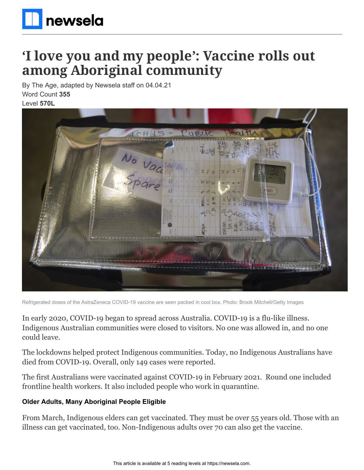

## **'I love you and my people': Vaccine rolls out among Aboriginal community**

By The Age, adapted by Newsela staff on 04.04.21 Word Count **355** Level **570L**



Refrigerated doses of the AstraZeneca COVID-19 vaccine are seen packed in cool box. Photo: Brook Mitchell/Getty Images

In early 2020, COVID-19 began to spread across Australia. COVID-19 is a flu-like illness. Indigenous Australian communities were closed to visitors. No one was allowed in, and no one could leave.

The lockdowns helped protect Indigenous communities. Today, no Indigenous Australians have died from COVID-19. Overall, only 149 cases were reported.

The first Australians were vaccinated against COVID-19 in February 2021. Round one included frontline health workers. It also included people who work in quarantine.

## **Older Adults, Many Aboriginal People Eligible**

From March, Indigenous elders can get vaccinated. They must be over 55 years old. Those with an illness can get vaccinated, too. Non-Indigenous adults over 70 can also get the vaccine.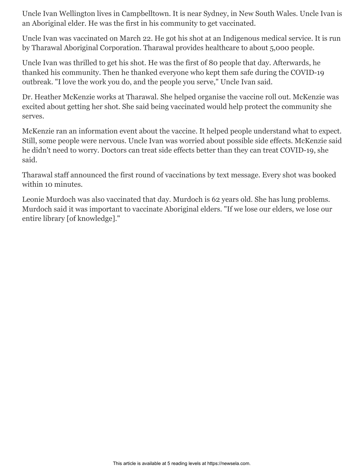Uncle Ivan Wellington lives in Campbelltown. It is near Sydney, in New South Wales. Uncle Ivan is an Aboriginal elder. He was the first in his community to get vaccinated.

Uncle Ivan was vaccinated on March 22. He got his shot at an Indigenous medical service. It is run by Tharawal Aboriginal Corporation. Tharawal provides healthcare to about 5,000 people.

Uncle Ivan was thrilled to get his shot. He was the first of 80 people that day. Afterwards, he thanked his community. Then he thanked everyone who kept them safe during the COVID-19 outbreak. "I love the work you do, and the people you serve," Uncle Ivan said.

Dr. Heather McKenzie works at Tharawal. She helped organise the vaccine roll out. McKenzie was excited about getting her shot. She said being vaccinated would help protect the community she serves.

McKenzie ran an information event about the vaccine. It helped people understand what to expect. Still, some people were nervous. Uncle Ivan was worried about possible side effects. McKenzie said he didn't need to worry. Doctors can treat side effects better than they can treat COVID-19, she said.

Tharawal staff announced the first round of vaccinations by text message. Every shot was booked within 10 minutes.

Leonie Murdoch was also vaccinated that day. Murdoch is 62 years old. She has lung problems. Murdoch said it was important to vaccinate Aboriginal elders. "If we lose our elders, we lose our entire library [of knowledge]."